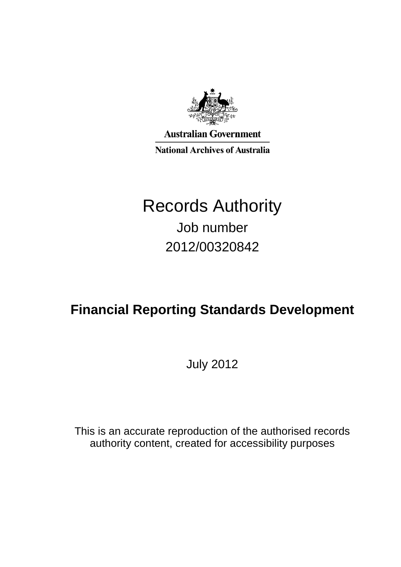

**Australian Government National Archives of Australia** 

# Records Authority Job number 2012/00320842

# **Financial Reporting Standards Development**

July 2012

This is an accurate reproduction of the authorised records authority content, created for accessibility purposes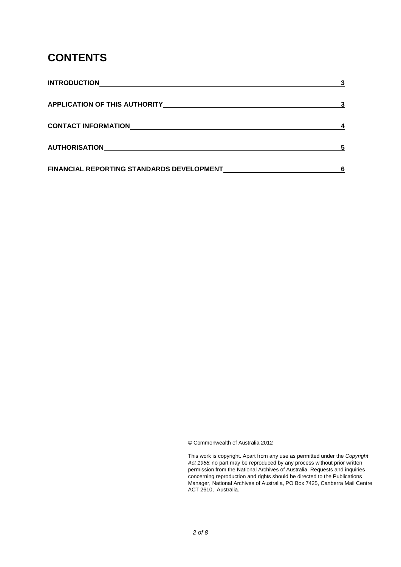## **CONTENTS**

| <b>INTRODUCTION</b>                       |  |
|-------------------------------------------|--|
| <b>APPLICATION OF THIS AUTHORITY</b>      |  |
| <b>CONTACT INFORMATION</b>                |  |
| <b>AUTHORISATION</b>                      |  |
| FINANCIAL REPORTING STANDARDS DEVELOPMENT |  |

© Commonwealth of Australia 2012

This work is copyright. Apart from any use as permitted under the *Copyright Act 1968,* no part may be reproduced by any process without prior written permission from the National Archives of Australia. Requests and inquiries concerning reproduction and rights should be directed to the Publications Manager, National Archives of Australia, PO Box 7425, Canberra Mail Centre ACT 2610, Australia.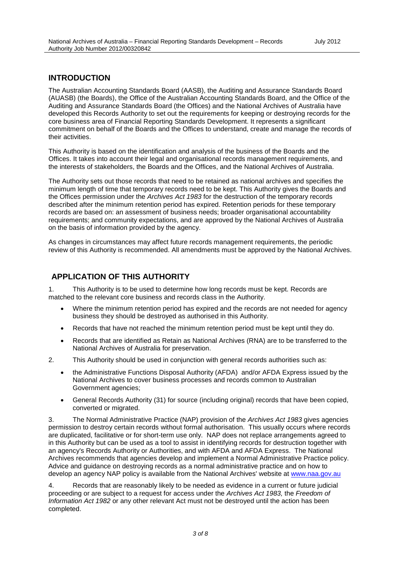### **INTRODUCTION**

The Australian Accounting Standards Board (AASB), the Auditing and Assurance Standards Board (AUASB) (the Boards), the Office of the Australian Accounting Standards Board, and the Office of the Auditing and Assurance Standards Board (the Offices) and the National Archives of Australia have developed this Records Authority to set out the requirements for keeping or destroying records for the core business area of Financial Reporting Standards Development. It represents a significant commitment on behalf of the Boards and the Offices to understand, create and manage the records of their activities.

This Authority is based on the identification and analysis of the business of the Boards and the Offices. It takes into account their legal and organisational records management requirements, and the interests of stakeholders, the Boards and the Offices, and the National Archives of Australia.

The Authority sets out those records that need to be retained as national archives and specifies the minimum length of time that temporary records need to be kept. This Authority gives the Boards and the Offices permission under the *Archives Act 1983* for the destruction of the temporary records described after the minimum retention period has expired. Retention periods for these temporary records are based on: an assessment of business needs; broader organisational accountability requirements; and community expectations, and are approved by the National Archives of Australia on the basis of information provided by the agency.

As changes in circumstances may affect future records management requirements, the periodic review of this Authority is recommended. All amendments must be approved by the National Archives.

#### **APPLICATION OF THIS AUTHORITY**

1. This Authority is to be used to determine how long records must be kept. Records are matched to the relevant core business and records class in the Authority.

- Where the minimum retention period has expired and the records are not needed for agency business they should be destroyed as authorised in this Authority.
- Records that have not reached the minimum retention period must be kept until they do.
- Records that are identified as Retain as National Archives (RNA) are to be transferred to the National Archives of Australia for preservation.
- 2. This Authority should be used in conjunction with general records authorities such as:
	- the Administrative Functions Disposal Authority (AFDA) and/or AFDA Express issued by the National Archives to cover business processes and records common to Australian Government agencies;
	- General Records Authority (31) for source (including original) records that have been copied, converted or migrated.

3. The Normal Administrative Practice (NAP) provision of the *Archives Act 1983* gives agencies permission to destroy certain records without formal authorisation. This usually occurs where records are duplicated, facilitative or for short-term use only. NAP does not replace arrangements agreed to in this Authority but can be used as a tool to assist in identifying records for destruction together with an agency's Records Authority or Authorities, and with AFDA and AFDA Express. The National Archives recommends that agencies develop and implement a Normal Administrative Practice policy. Advice and guidance on destroying records as a normal administrative practice and on how to develop an agency NAP policy is available from the National Archives' website at [www.naa.gov.au](http://www.naa.gov.au/)

4. Records that are reasonably likely to be needed as evidence in a current or future judicial proceeding or are subject to a request for access under the *Archives Act 1983,* the *Freedom of Information Act 1982* or any other relevant Act must not be destroyed until the action has been completed.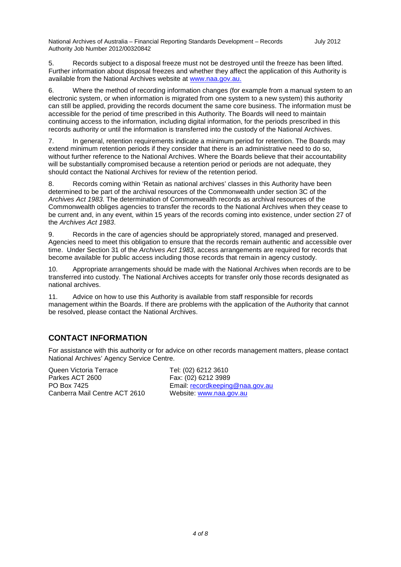National Archives of Australia – Financial Reporting Standards Development – Records Authority Job Number 2012/00320842 July 2012

5. Records subject to a disposal freeze must not be destroyed until the freeze has been lifted. Further information about disposal freezes and whether they affect the application of this Authority is available from the National Archives website at [www.naa.gov.au.](http://www.naa.gov.au/)

6. Where the method of recording information changes (for example from a manual system to an electronic system, or when information is migrated from one system to a new system) this authority can still be applied, providing the records document the same core business. The information must be accessible for the period of time prescribed in this Authority. The Boards will need to maintain continuing access to the information, including digital information, for the periods prescribed in this records authority or until the information is transferred into the custody of the National Archives.

7. In general, retention requirements indicate a minimum period for retention. The Boards may extend minimum retention periods if they consider that there is an administrative need to do so, without further reference to the National Archives. Where the Boards believe that their accountability will be substantially compromised because a retention period or periods are not adequate, they should contact the National Archives for review of the retention period.

8. Records coming within 'Retain as national archives' classes in this Authority have been determined to be part of the archival resources of the Commonwealth under section 3C of the *Archives Act 1983*. The determination of Commonwealth records as archival resources of the Commonwealth obliges agencies to transfer the records to the National Archives when they cease to be current and, in any event, within 15 years of the records coming into existence, under section 27 of the *Archives Act 1983*.

9. Records in the care of agencies should be appropriately stored, managed and preserved. Agencies need to meet this obligation to ensure that the records remain authentic and accessible over time. Under Section 31 of the *Archives Act 1983*, access arrangements are required for records that become available for public access including those records that remain in agency custody.

10. Appropriate arrangements should be made with the National Archives when records are to be transferred into custody. The National Archives accepts for transfer only those records designated as national archives.

11. Advice on how to use this Authority is available from staff responsible for records management within the Boards. If there are problems with the application of the Authority that cannot be resolved, please contact the National Archives.

### **CONTACT INFORMATION**

For assistance with this authority or for advice on other records management matters, please contact National Archives' Agency Service Centre.

Queen Victoria Terrace Tel: (02) 6212 3610<br>Parkes ACT 2600 Teas: (02) 6212 3989 Parkes ACT 2600 Fax: (02) 6212 3989<br>PO Box 7425 Fail: recordkeeping Canberra Mail Centre ACT 2610

Email: recordkeeping@naa.gov.au<br>Website: www.naa.gov.au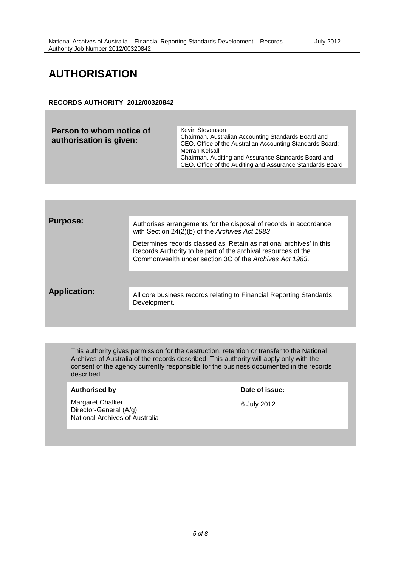## **AUTHORISATION**

#### **RECORDS AUTHORITY 2012/00320842**

**Person to whom notice of authorisation is given:** Kevin Stevenson Chairman, Australian Accounting Standards Board and CEO, Office of the Australian Accounting Standards Board; Merran Kelsall Chairman, Auditing and Assurance Standards Board and CEO, Office of the Auditing and Assurance Standards Board



This authority gives permission for the destruction, retention or transfer to the National Archives of Australia of the records described. This authority will apply only with the consent of the agency currently responsible for the business documented in the records described.

#### Authorised by **Date of issue:**

Margaret Chalker Director-General (A/g) National Archives of Australia

6 July 2012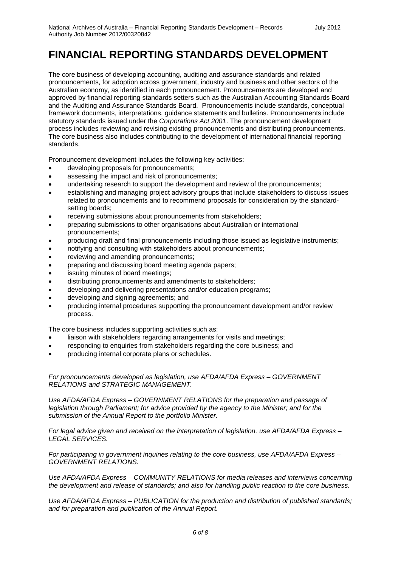## **FINANCIAL REPORTING STANDARDS DEVELOPMENT**

The core business of developing accounting, auditing and assurance standards and related pronouncements, for adoption across government, industry and business and other sectors of the Australian economy, as identified in each pronouncement. Pronouncements are developed and approved by financial reporting standards setters such as the Australian Accounting Standards Board and the Auditing and Assurance Standards Board. Pronouncements include standards, conceptual framework documents, interpretations, guidance statements and bulletins. Pronouncements include statutory standards issued under the *Corporations Act 2001*. The pronouncement development process includes reviewing and revising existing pronouncements and distributing pronouncements. The core business also includes contributing to the development of international financial reporting standards.

Pronouncement development includes the following key activities:

- developing proposals for pronouncements;
- assessing the impact and risk of pronouncements;
- undertaking research to support the development and review of the pronouncements;
- establishing and managing project advisory groups that include stakeholders to discuss issues related to pronouncements and to recommend proposals for consideration by the standardsetting boards;
- receiving submissions about pronouncements from stakeholders;
- preparing submissions to other organisations about Australian or international pronouncements;
- producing draft and final pronouncements including those issued as legislative instruments;
- notifying and consulting with stakeholders about pronouncements;
- reviewing and amending pronouncements;
- preparing and discussing board meeting agenda papers;
- issuing minutes of board meetings;
- distributing pronouncements and amendments to stakeholders;
- developing and delivering presentations and/or education programs;
- developing and signing agreements; and
- producing internal procedures supporting the pronouncement development and/or review process.

The core business includes supporting activities such as:

- liaison with stakeholders regarding arrangements for visits and meetings;
- responding to enquiries from stakeholders regarding the core business; and
- producing internal corporate plans or schedules.

*For pronouncements developed as legislation, use AFDA/AFDA Express – GOVERNMENT RELATIONS and STRATEGIC MANAGEMENT.* 

*Use AFDA/AFDA Express – GOVERNMENT RELATIONS for the preparation and passage of legislation through Parliament; for advice provided by the agency to the Minister; and for the submission of the Annual Report to the portfolio Minister.*

*For legal advice given and received on the interpretation of legislation, use AFDA/AFDA Express – LEGAL SERVICES.*

*For participating in government inquiries relating to the core business, use AFDA/AFDA Express – GOVERNMENT RELATIONS.*

*Use AFDA/AFDA Express – COMMUNITY RELATIONS for media releases and interviews concerning the development and release of standards; and also for handling public reaction to the core business.*

*Use AFDA/AFDA Express – PUBLICATION for the production and distribution of published standards; and for preparation and publication of the Annual Report.*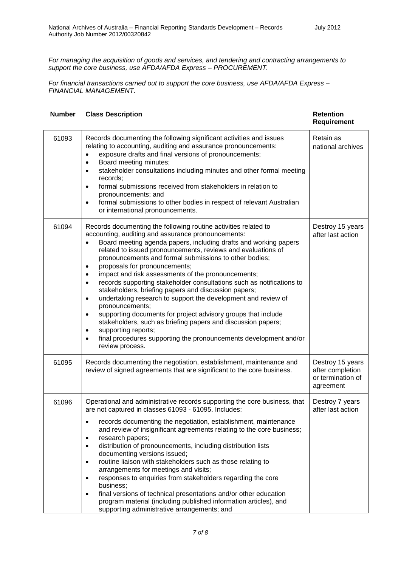*For managing the acquisition of goods and services, and tendering and contracting arrangements to support the core business, use AFDA/AFDA Express – PROCUREMENT.*

*For financial transactions carried out to support the core business, use AFDA/AFDA Express – FINANCIAL MANAGEMENT.*

| <b>Number</b> | <b>Class Description</b>                                                                                                                                                                                                                                                                                                                                                                                                                                                                                                                                                                                                                                                                                                                                                                                                                                                                                                                                                        | <b>Retention</b><br><b>Requirement</b>                                 |  |
|---------------|---------------------------------------------------------------------------------------------------------------------------------------------------------------------------------------------------------------------------------------------------------------------------------------------------------------------------------------------------------------------------------------------------------------------------------------------------------------------------------------------------------------------------------------------------------------------------------------------------------------------------------------------------------------------------------------------------------------------------------------------------------------------------------------------------------------------------------------------------------------------------------------------------------------------------------------------------------------------------------|------------------------------------------------------------------------|--|
| 61093         | Records documenting the following significant activities and issues<br>relating to accounting, auditing and assurance pronouncements:<br>exposure drafts and final versions of pronouncements;<br>$\bullet$<br>Board meeting minutes;<br>$\bullet$<br>stakeholder consultations including minutes and other formal meeting<br>$\bullet$<br>records;<br>formal submissions received from stakeholders in relation to<br>$\bullet$<br>pronouncements; and<br>formal submissions to other bodies in respect of relevant Australian<br>$\bullet$<br>or international pronouncements.                                                                                                                                                                                                                                                                                                                                                                                                | Retain as<br>national archives                                         |  |
| 61094         | Records documenting the following routine activities related to<br>accounting, auditing and assurance pronouncements:<br>Board meeting agenda papers, including drafts and working papers<br>$\bullet$<br>related to issued pronouncements, reviews and evaluations of<br>pronouncements and formal submissions to other bodies;<br>proposals for pronouncements;<br>$\bullet$<br>impact and risk assessments of the pronouncements;<br>$\bullet$<br>records supporting stakeholder consultations such as notifications to<br>$\bullet$<br>stakeholders, briefing papers and discussion papers;<br>undertaking research to support the development and review of<br>$\bullet$<br>pronouncements;<br>supporting documents for project advisory groups that include<br>$\bullet$<br>stakeholders, such as briefing papers and discussion papers;<br>supporting reports;<br>$\bullet$<br>final procedures supporting the pronouncements development and/or<br>٠<br>review process. | Destroy 15 years<br>after last action                                  |  |
| 61095         | Records documenting the negotiation, establishment, maintenance and<br>review of signed agreements that are significant to the core business.                                                                                                                                                                                                                                                                                                                                                                                                                                                                                                                                                                                                                                                                                                                                                                                                                                   | Destroy 15 years<br>after completion<br>or termination of<br>agreement |  |
| 61096         | Operational and administrative records supporting the core business, that<br>are not captured in classes 61093 - 61095. Includes:<br>records documenting the negotiation, establishment, maintenance<br>$\bullet$<br>and review of insignificant agreements relating to the core business;<br>research papers;<br>distribution of pronouncements, including distribution lists<br>documenting versions issued;<br>routine liaison with stakeholders such as those relating to<br>$\bullet$<br>arrangements for meetings and visits;<br>responses to enquiries from stakeholders regarding the core<br>business;<br>final versions of technical presentations and/or other education<br>$\bullet$<br>program material (including published information articles), and<br>supporting administrative arrangements; and                                                                                                                                                             | Destroy 7 years<br>after last action                                   |  |